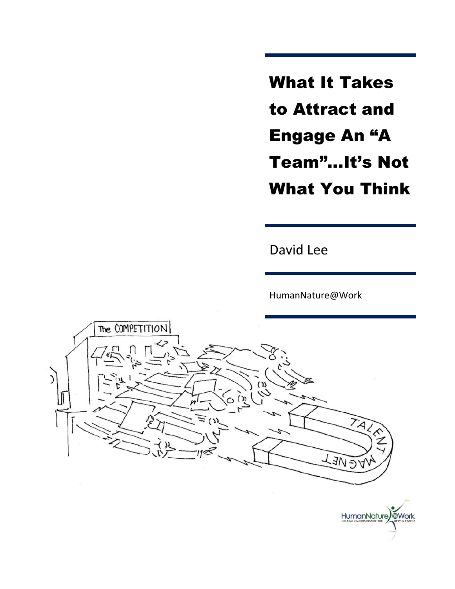What It Takes to Attract and Engage An "A Team"…It's Not What You Think

David Lee

HumanNature@Work



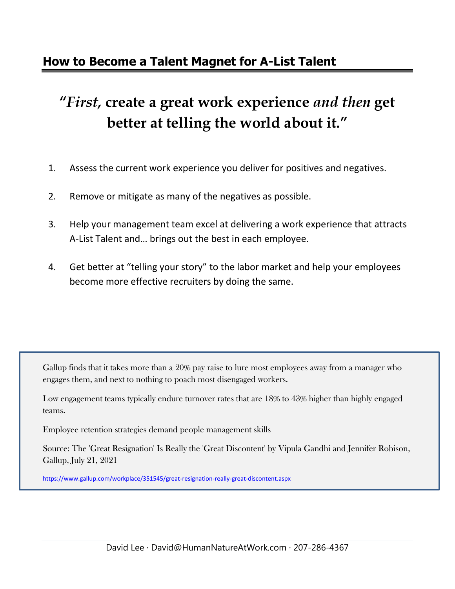#### **How to Become a Talent Magnet for A-List Talent**

# **"***First,* **create a great work experience** *and then* **get better at telling the world about it."**

- 1. Assess the current work experience you deliver for positives and negatives.
- 2. Remove or mitigate as many of the negatives as possible.
- 3. Help your management team excel at delivering a work experience that attracts A-List Talent and… brings out the best in each employee.
- 4. Get better at "telling your story" to the labor market and help your employees become more effective recruiters by doing the same.

Gallup finds that it takes more than a 20% pay raise to lure most employees away from a manager who engages them, and next to nothing to poach most disengaged workers.

Low engagement teams typically endure turnover rates that are 18% to 43% higher than highly engaged teams.

Employee retention strategies demand people management skills

Source: The 'Great Resignation' Is Really the 'Great Discontent' by Vipula Gandhi and Jennifer Robison, Gallup, July 21, 2021

<https://www.gallup.com/workplace/351545/great-resignation-really-great-discontent.aspx>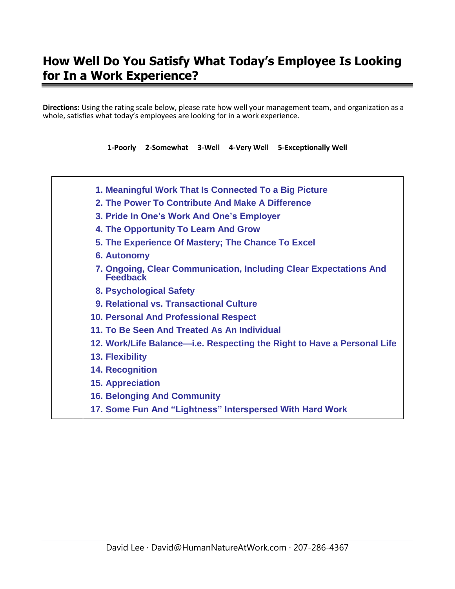#### **How Well Do You Satisfy What Today's Employee Is Looking for In a Work Experience?**

**Directions:** Using the rating scale below, please rate how well your management team, and organization as a whole, satisfies what today's employees are looking for in a work experience.

**1-Poorly 2-Somewhat 3-Well 4-Very Well 5-Exceptionally Well**

| 1. Meaningful Work That Is Connected To a Big Picture                                |
|--------------------------------------------------------------------------------------|
| 2. The Power To Contribute And Make A Difference                                     |
| 3. Pride In One's Work And One's Employer                                            |
| 4. The Opportunity To Learn And Grow                                                 |
| 5. The Experience Of Mastery; The Chance To Excel                                    |
| 6. Autonomy                                                                          |
| 7. Ongoing, Clear Communication, Including Clear Expectations And<br><b>Feedback</b> |
| 8. Psychological Safety                                                              |
| 9. Relational vs. Transactional Culture                                              |
| <b>10. Personal And Professional Respect</b>                                         |
| 11. To Be Seen And Treated As An Individual                                          |
| 12. Work/Life Balance—i.e. Respecting the Right to Have a Personal Life              |
| <b>13. Flexibility</b>                                                               |
| <b>14. Recognition</b>                                                               |
| <b>15. Appreciation</b>                                                              |
| <b>16. Belonging And Community</b>                                                   |
| 17. Some Fun And "Lightness" Interspersed With Hard Work                             |
|                                                                                      |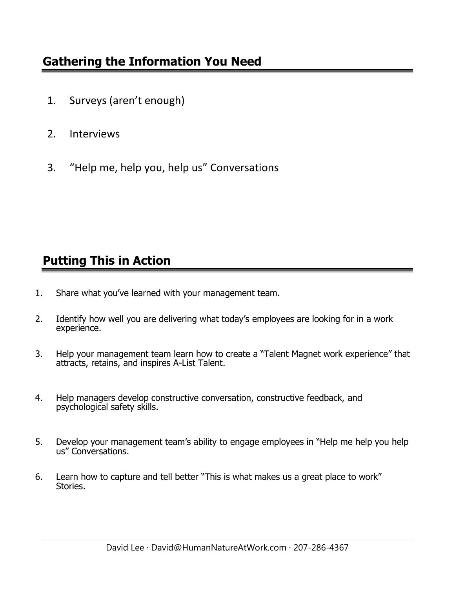- 1. Surveys (aren't enough)
- 2. Interviews
- 3. "Help me, help you, help us" Conversations

## **Putting This in Action**

- 1. Share what you've learned with your management team.
- 2. Identify how well you are delivering what today's employees are looking for in a work experience.
- 3. Help your management team learn how to create a "Talent Magnet work experience" that attracts, retains, and inspires A-List Talent.
- 4. Help managers develop constructive conversation, constructive feedback, and psychological safety skills.
- 5. Develop your management team's ability to engage employees in "Help me help you help us" Conversations.
- 6. Learn how to capture and tell better "This is what makes us a great place to work" Stories.